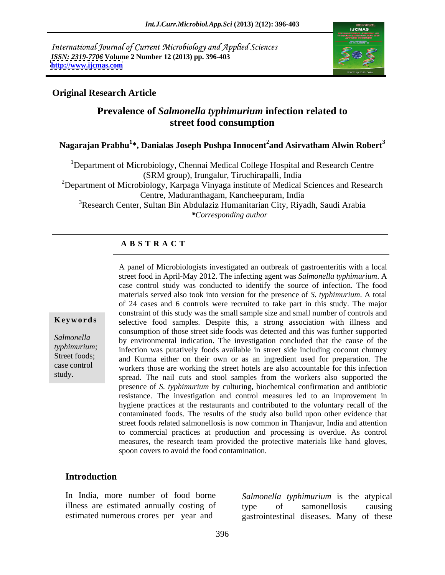International Journal of Current Microbiology and Applied Sciences *ISSN: 2319-7706* **Volume 2 Number 12 (2013) pp. 396-403 <http://www.ijcmas.com>**



### **Original Research Article**

# **Prevalence of** *Salmonella typhimurium* **infection related to street food consumption**

**Nagarajan Prabhu<sup>1</sup> \*, Danialas Joseph Pushpa Innocent<sup>2</sup> and Asirvatham Alwin Robert<sup>3</sup>**

<sup>1</sup>Department of Microbiology, Chennai Medical College Hospital and Research Centre (SRM group), Irungalur, Tiruchirapalli, India <sup>2</sup>Department of Microbiology, Karpaga Vinyaga institute of Medical Sciences and Research Centre, Maduranthagam, Kancheepuram, India <sup>3</sup>Research Center, Sultan Bin Abdulaziz Humanitarian City, Riyadh, Saudi Arabia *\*Corresponding author* 

#### **A B S T R A C T**

**Keywords** selective food samples. Despite this, a strong association with illness and Salmonella by environmental indication. The investigation concluded that the cause of the *typhimurium*; infection was putatively foods available in street side including coconut chutney Street foods; and Kurma either on their own or as an ingredient used for preparation. The case control workers those are working the street hotels are also accountable for this infection study.<br>
spread. The nail cuts and stool samples from the workers also supported the A panel of Microbiologists investigated an outbreak of gastroenteritis with a local street food in April-May 2012. The infecting agent was *Salmonella typhimurium*. A case control study was conducted to identify the source of infection. The food materials served also took into version for the presence of *S. typhimurium*. A total of 24 cases and 6 controls were recruited to take part in this study. The major constraint of this study was the small sample size and small number of controls and consumption of those street side foods was detected and this was further supported presence of *S. typhimurium* by culturing, biochemical confirmation and antibiotic resistance. The investigation and control measures led to an improvement in hygiene practices at the restaurants and contributed to the voluntary recall of the contaminated foods. The results of the study also build upon other evidence that street foods related salmonellosis is now common in Thanjavur, India and attention to commercial practices at production and processing is overdue. As control measures, the research team provided the protective materials like hand gloves, spoon covers to avoid the food contamination.

#### **Introduction**

In India, more number of food borne

illness are estimated annually costing of type of samonellosis causing estimated numerous crores per year and gastrointestinal diseases. Many of these *Salmonella typhimurium* is the atypical type of samonellosis causing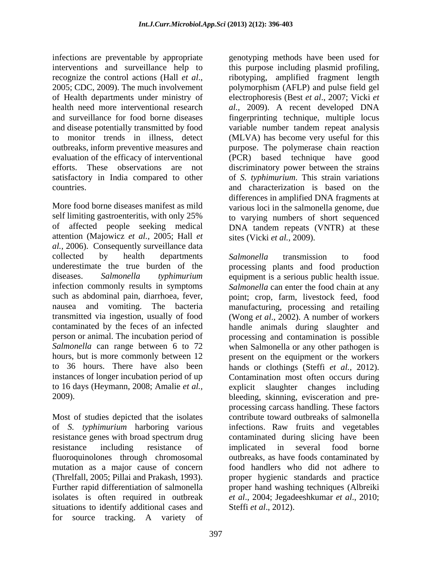infections are preventable by appropriate genotyping methods have been used for interventions and surveillance help to this purpose including plasmid profiling, recognize the control actions (Hall *et al*., ribotyping, amplified fragment length 2005; CDC, 2009). The much involvement polymorphism (AFLP) and pulse field gel of Health departments under ministry of electrophoresis (Best *et al*., 2007; Vicki *et*  health need more interventional research *al.,* 2009). A recent developed DNA and surveillance for food borne diseases fingerprinting technique, multiple locus and disease potentially transmitted by food variable number tandem repeat analysis to monitor trends in illness, detect (MLVA) has become very useful for this outbreaks, inform preventive measures and purpose. The polymerase chain reaction evaluation of the efficacy of interventional (PCR) based technique have good efforts. These observations are not discriminatory power between the strains satisfactory in India compared to other of *S. typhimurium*. This strain variations countries. and characterization is based on the

More food borne diseases manifest as mild various loci in the salmonella genome, due self limiting gastroenteritis, with only 25% to varying numbers of short sequenced of affected people seeking medical attention (Majowicz *et al.,* 2005; Hall *et al.,* 2006). Consequently surveillance data collected by health departments Salmonella transmission to food underestimate the true burden of the processing plants and food production diseases. *Salmonella typhimurium* equipment is a serious public health issue. infection commonly results in symptoms *Salmonella* can enter the food chain at any such as abdominal pain, diarrhoea, fever, point; crop, farm, livestock feed, food nausea and vomiting. The bacteria manufacturing, processing and retailing transmitted via ingestion, usually of food (Wong *et al*., 2002). A number of workers contaminated by the feces of an infected person or animal. The incubation period of processing and contamination is possible *Salmonella* can range between 6 to 72 when Salmonella or any other pathogen is hours, but is more commonly between 12 present on the equipment or the workers to 36 hours. There have also been hands or clothings (Steffi *et al.,* 2012). instances of longer incubation period of up Contamination most often occurs during to 16 days (Heymann, 2008; Amalie *et al.,*

Most of studies depicted that the isolates situations to identify additional cases and for source tracking. A variety of differences in amplified DNA fragments at DNA tandem repeats (VNTR) at these sites (Vicki *et al.,* 2009).

2009). bleeding, skinning, evisceration and pre of *S. typhimurium* harboring various infections. Raw fruits and vegetables resistance genes with broad spectrum drug contaminated during slicing have been resistance including resistance of implicated in several food borne fluoroquinolones through chromosomal outbreaks, as have foods contaminated by mutation as a major cause of concern food handlers who did not adhere to (Threlfall, 2005; Pillai and Prakash, 1993). proper hygienic standards and practice Further rapid differentiation of salmonella proper hand washing techniques (Albreiki isolates is often required in outbreak *et al*., 2004; Jegadeeshkumar *et al*., 2010; *Salmonella* transmission to food handle animals during slaughter and explicit slaughter changes including processing carcass handling. These factors contribute toward outbreaks of salmonella implicated in several food borne Steffi *et al*., 2012).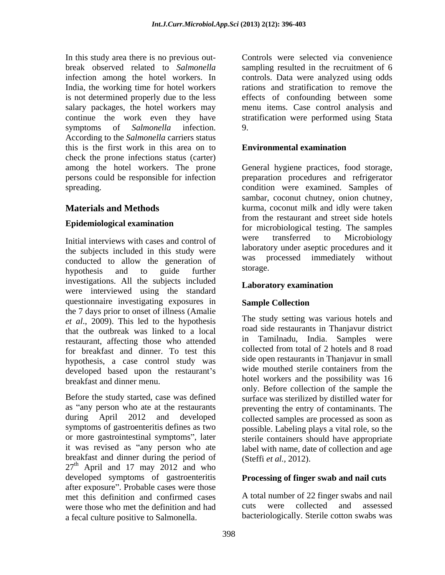In this study area there is no previous out- Controls were selected via convenience break observed related to *Salmonella* sampling resulted in the recruitment of 6 infection among the hotel workers. In controls. Data were analyzed using odds India, the working time for hotel workers rations and stratification to remove the is not determined properly due to the less salary packages, the hotel workers may continue the work even they have stratification were performed using Stata symptoms of *Salmonella* infection. 9. According to the *Salmonella* carriers status this is the first work in this area on to **Environmental examination** check the prone infections status (carter) among the hotel workers. The prone General hygiene practices, food storage, persons could be responsible for infection preparation procedures and refrigerator spreading. condition were examined. Samples of

### **Epidemiological examination**

the subjects included in this study were<br>conducted to allow the generation of was processed immediately without conducted to allow the generation of was p<br>hypothosis, and to guide further storage. hypothesis and to guide further storage. investigations. All the subjects included were interviewed using the standard questionnaire investigating exposures in the 7 days prior to onset of illness (Amalie *et al*., 2009). This led to the hypothesis that the outbreak was linked to a local road restaurant, affecting those who attended for breakfast and dinner. To test this hypothesis, a case control study was side open restaurants in Ihanjavur in small<br>developed based upon the restaurant's wide mouthed sterile containers from the developed based upon the restaurant's

Before the study started, case was defined<br>as "any person who ate at the restaurants as "any person who ate at the restaurants preventing the entry of contaminants. The during April 2012 and developed collected samples are processed as soon as symptoms of gastroenteritis defines as two or more gastrointestinal symptoms", later sterile containers should have appropriate it was revised as "any person who ate label with name, date of collection and age breakfast and dinner during the period of  $27<sup>th</sup>$  April and 17 may 2012 and who developed symptoms of gastroenteritis after exposure". Probable cases were those met this definition and confirmed cases and number of 22 finger swabs and nail<br>were those who met the definition and had cuts were collected and assessed were those who met the definition and had a fecal culture positive to Salmonella.

effects of confounding between some menu items. Case control analysis and 9.

### **Environmental examination**

**Materials and Methods Example 20** kurma, coconut milk and idly were taken Initial interviews with cases and control of were transferred to Microbiology sambar, coconut chutney, onion chutney, from the restaurant and street side hotels for microbiological testing. The samples were transferred to Microbiology laboratory under aseptic procedures and it was processed immediately without storage.

### **Laboratory examination**

### **Sample Collection**

breakfast and dinner menu. hotel workers and the possibility was 16 The study setting was various hotels and road side restaurants in Thanjavur district Tamilnadu, India. Samples were collected from total of 2 hotels and 8 road side open restaurants in Thanjavur in small wide mouthed sterile containers from the only. Before collection of the sample the surface was sterilized by distilled water for possible. Labeling plays a vital role, so the (Steffi *et al.,* 2012).

### **Processing of finger swab and nail cuts**

A total number of 22 finger swabs and nail cuts were collected and assessed bacteriologically. Sterile cotton swabs was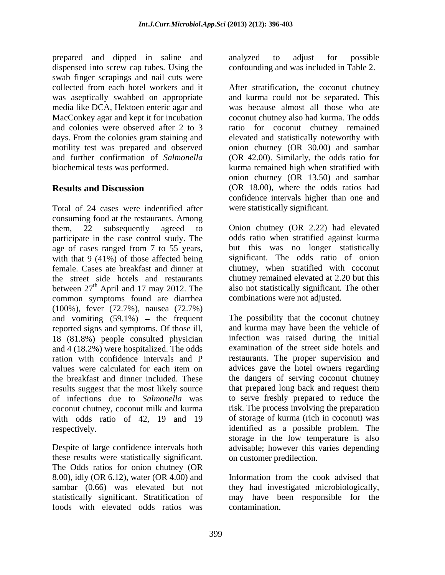prepared and dipped in saline and analyzed to adjust for possible dispensed into screw cap tubes. Using the swab finger scrapings and nail cuts were media like DCA, Hektoen enteric agar and MacConkey agar and kept it for incubation

Total of 24 cases were indentified after consuming food at the restaurants. Among them, 22 subsequently agreed to Onion chutney (OR 2.22) had elevated participate in the case control study. The age of cases ranged from 7 to 55 years, with that 9 (41%) of those affected being female. Cases ate breakfast and dinner at the street side hotels and restaurants between  $27<sup>th</sup>$  April and 17 may 2012. The common symptoms found are diarrhea (100%), fever (72.7%), nausea (72.7%) and vomiting  $(59.1\%)$  - the frequent reported signs and symptoms. Of those ill, 18 (81.8%) people consulted physician and 4 (18.2%) were hospitalized. The odds ration with confidence intervals and P restaurants. The proper supervision and values were calculated for each item on advices gave the hotel owners regarding the breakfast and dinner included. These results suggest that the most likely source of infections due to *Salmonella* was to serve freshly prepared to reduce the coconut chutney, coconut milk and kurma risk. The process involving the preparation with odds ratio of 42, 19 and 19 respectively. identified as a possible problem. The

these results were statistically significant. The Odds ratios for onion chutney (OR 8.00), idly (OR 6.12), water (OR 4.00) and Information from the cook advised that sambar (0.66) was elevated but not they had investigated microbiologically, statistically significant. Stratification of may have been responsible for the foods with elevated odds ratios was

analyzed to adjust for possible confounding and was included in Table 2.

collected from each hotel workers and it After stratification, the coconut chutney was aseptically swabbed on appropriate and kurma could not be separated. This and colonies were observed after 2 to 3 ratio for coconut chutney remained days. From the colonies gram staining and elevated and statistically noteworthy with motility test was prepared and observed onion chutney (OR 30.00) and sambar and further confirmation of *Salmonella* (OR 42.00). Similarly, the odds ratio for biochemical tests was performed. kurma remained high when stratified with **Results and Discussion** (OR 18.00), where the odds ratios had was because almost all those who ate coconut chutney also had kurma. The odds onion chutney (OR 13.50) and sambar confidence intervals higher than one and were statistically significant.

<sup>th</sup> April and 17 may 2012. The also not statistically significant. The other odds ratio when stratified against kurma but this was no longer statistically significant. The odds ratio of onion chutney, when stratified with coconut chutney remained elevated at 2.20 but this combinations were not adjusted.

Despite of large confidence intervals both advisable; however this varies depending The possibility that the coconut chutney and kurma may have been the vehicle of infection was raised during the initial examination of the street side hotels and advices gave the hotel owners regarding the dangers of serving coconut chutney that prepared long back and request them of storage of kurma (rich in coconut) was storage in the low temperature is also on customer predilection.

> Information from the cook advised that contamination.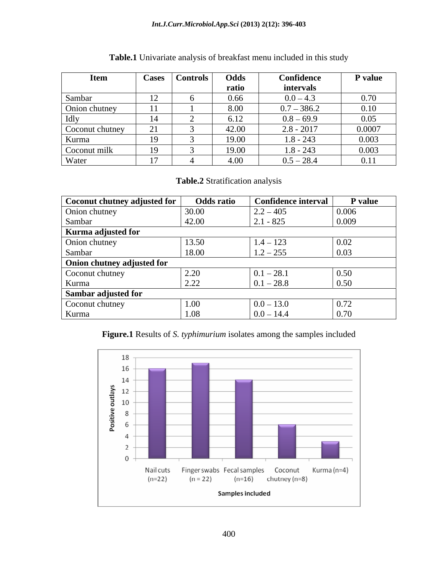#### *Int.J.Curr.Microbiol.App.Sci* **(2013) 2(12): 396-403**

| <b>Item</b>     | Cases                  | Controls | Odds  | Confidence    | P value |
|-----------------|------------------------|----------|-------|---------------|---------|
|                 |                        |          | ratio | intervals     |         |
| Sambar          | $1^{\circ}$<br>$\perp$ |          | 0.66  | $0.0 - 4.3$   | 0.70    |
| Onion chutney   | $-4-4$                 |          | 8.00  | $0.7 - 386.2$ | 0.10    |
| Idly            | 14                     |          | 6.12  | $0.8 - 69.9$  | 0.05    |
| Coconut chutney |                        |          | 42.00 | $2.8 - 2017$  | 0.0007  |
| Kurma           | 10                     |          | 19.00 | $1.8 - 243$   | 0.003   |
| Coconut milk    | 19                     |          | 19.00 | $1.8 - 243$   | 0.003   |
| Water           | $\overline{a}$         |          | 4.00  | $0.5 - 28.4$  | 0.11    |

## **Table.1** Univariate analysis of breakfast menu included in this study

### **Table.2** Stratification analysis

| Coconut chutney adjusted for | <b>Odds ratio</b> | <b>Confidence interval</b> | P value |
|------------------------------|-------------------|----------------------------|---------|
| Onion chutney                | 30.00             | $2.2 - 405$                | 0.006   |
| Sambar                       | 42.00             | $2.1 - 825$                | 0.009   |
| Kurma adjusted for           |                   |                            |         |
| Onion chutney                | 13.50             | $1.4 - 123$                | 0.02    |
| Sambar                       | 18.00             | $1.2 - 255$                | 0.03    |
| Onion chutney adjusted for   |                   |                            |         |
| Coconut chutney              | 2.20              | $0.1 - 28.1$               | 0.50    |
| Kurma                        | 2.22              | $0.1 - 28.8$               | 0.50    |
| Sambar adjusted for          |                   |                            |         |
| Coconut chutney              | 1.00              | $0.0 - 13.0$               | 0.72    |
| Kurma                        | .08               | $0.0 - 14.4$               | 0.70    |

### **Figure.1** Results of *S. typhimurium* isolates among the samples included

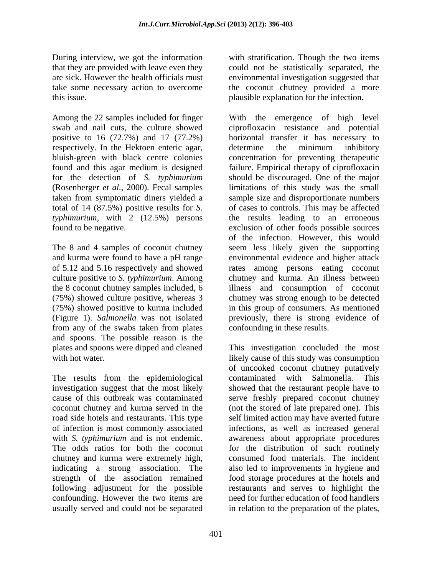this issue. plausible explanation for the infection.

respectively. In the Hektoen enteric agar, determine the minimum inhibitory

culture positive to *S. typhimurium*. Among from any of the swabs taken from plates confounding in these results. and spoons. The possible reason is the

The results from the epidemiological contaminated with Salmonella. This chutney and kurma were extremely high, indicating a strong association. The usually served and could not be separated in relation to the preparation of the plates,

During interview, we got the information with stratification. Though the two items that they are provided with leave even they could not be statistically separated, the are sick. However the health officials must environmental investigation suggested that take some necessary action to overcome the coconut chutney provided a more

Among the 22 samples included for finger With the emergence of high level swab and nail cuts, the culture showed ciprofloxacin resistance and potential positive to 16 (72.7%) and 17 (77.2%) horizontal transfer it has necessary to bluish-green with black centre colonies concentration for preventing therapeutic found and this agar medium is designed failure. Empirical therapy of ciprofloxacin for the detection of *S. typhimurium* should be discouraged. One of the major (Rosenberger *et al.,* 2000). Fecal samples limitations of this study was the small taken from symptomatic diners yielded a sample size and disproportionate numbers total of 14 (87.5%) positive results for *S.*  of cases to controls. This may be affected *typhimurium*, with 2 (12.5%) persons the results leading to an erroneous found to be negative. exclusion of other foods possible sources The 8 and 4 samples of coconut chutney seem less likely given the supporting and kurma were found to have a pH range environmental evidence and higher attack of 5.12 and 5.16 respectively and showed rates among persons eating coconut the 8 coconut chutney samples included, 6 illness and consumption of coconut (75%) showed culture positive, whereas 3 chutney was strong enough to be detected (75%) showed positive to kurma included in this group of consumers. As mentioned (Figure 1). *Salmonella* was not isolated previously, there is strong evidence of determine the minimum inhibitory of the infection. However, this would chutney and kurma. An illness between confounding in these results.

plates and spoons were dipped and cleaned This investigation concluded the most with hot water. likely cause of this study was consumption investigation suggest that the most likely showed that the restaurant people have to cause of this outbreak was contaminated serve freshly prepared coconut chutney coconut chutney and kurma served in the (not the stored of late prepared one). This road side hotels and restaurants. This type self limited action may have averted future of infection is most commonly associated infections, as well as increased general with *S. typhimurium* and is not endemic. awareness about appropriate procedures The odds ratios for both the coconut for the distribution of such routinely strength of the association remained food storage procedures at the hotels and following adjustment for the possible restaurants and serves to highlight the confounding. However the two items are need for further education of food handlers of uncooked coconut chutney putatively contaminated with Salmonella. consumed food materials. The incident also led to improvements in hygiene and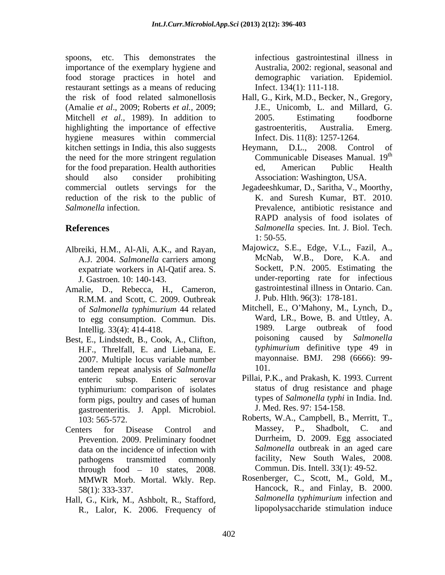spoons, etc. This demonstrates the infectious gastrointestinal illness in importance of the exemplary hygiene and food storage practices in hotel and restaurant settings as a means of reducing the risk of food related salmonellosis Hall, G., Kirk, M.D., Becker, N., Gregory, (Amalie *et al*., 2009; Roberts *et al.,* 2009; Mitchell *et al.,* 1989). In addition to highlighting the importance of effective gastroenteritis, Australia. Emerg. hygiene measures within commercial kitchen settings in India, this also suggests Heymann, D.L., 2008. Control of the need for the more stringent regulation for the food preparation. Health authorities ed, American Public Health should also consider prohibiting Association: Washington, USA. commercial outlets servings for the Jegadeeshkumar, D., Saritha,V., Moorthy, reduction of the risk to the public of *Salmonella* infection. Prevalence, antibiotic resistance and

- Albreiki, H.M., Al-Ali, A.K., and Rayan, A.J. 2004. *Salmonella* carriers among expatriate workers in Al-Qatif area. S.
- Amalie, D., Rebecca, H., Cameron, R.M.M. and Scott, C. 2009. Outbreak of *Salmonella typhimurium* 44 related to egg consumption. Commun. Dis. Ward,<br>Intellig 33(4): 414-418 1989.
- Best, E., Lindstedt, B., Cook, A., Clifton, H.F., Threlfall, E. and Liebana, E. 2007. Multiple locus variable number mayor and the mayor mayor and the mayor and the mayor and the manufactured mayor and the manufactured mayor and the manufactured manufactured may may may be made the manufactured manufa tandem repeat analysis of *Salmonella* typhimurium: comparison of isolates gastroenteritis. J. Appl. Microbiol.
- Centers for Disease Control and Massey, P., Shadbolt, C. and Prevention. 2009. Preliminary foodnet data on the incidence of infection with through food  $-10$  states, 2008. MMWR Morb. Mortal. Wkly. Rep.
- Hall, G., Kirk, M., Ashbolt, R., Stafford, R., Lalor, K. 2006. Frequency of

Australia, 2002: regional, seasonal and demographic variation. Infect. 134(1): 111-118.

- J.E., Unicomb, L. and Millard, G. 2005. Estimating foodborne gastroenteritis, Australia. Emerg. Infect. Dis. 11(8): 1257-1264.
- Heymann, D.L., 2008. Control of Communicable Diseases Manual. 19 the contract of the contract of the contract of the contract of the contract of the contract of the contract of the contract of the contract of the contract of the contract of the contract of the contract of the contract o ed, American Public Health
- **References** *Salmonella* species. Int. J. Biol. Tech. K. and Suresh Kumar, BT. 2010. RAPD analysis of food isolates of 1: 50-55.
	- J. Gastroen. 10: 140-143. under-reporting rate for infectious Majowicz, S.E., Edge, V.L., Fazil, A., McNab, W.B., Dore, K.A. and Sockett, P.N. 2005. Estimating the gastrointestinal illness in Ontario. Can. J. Pub. Hlth. 96(3): 178-181.
	- Intellig. 33(4): 414-418. 1989. Large outbreak of food Mitchell, E., O'Mahony, M., Lynch, D., Ward, LR., Bowe, B. and Uttley, A. poisoning caused by *Salmonella typhimurium* definitive type 49 in mayonnaise. BMJ. 298 (6666): 99- 101.
	- enteric subsp. Enteric serovar Pillai, P.K., and Prakash, K. 1993. Current form pigs, poultry and cases of human types of Salmonella typhi in India. Ind. status of drug resistance and phage types of *Salmonella typhi* in India. Ind. J. Med. Res. 97: 154-158.
	- 103: 565-572. Roberts, W.A., Campbell, B., Merritt, T., pathogens transmitted commonly facility, New South Wales, 2008. Massey, P., Shadbolt, C. and Durrheim, D. 2009. Egg associated *Salmonella* outbreak in an aged care Commun. Dis. Intell. 33(1): 49-52.
	- 58(1): 333-337. Hancock, R., and Finlay, B. 2000. Rosenberger, C., Scott, M., Gold, M., *Salmonella typhimurium* infection and lipopolysaccharide stimulation induce